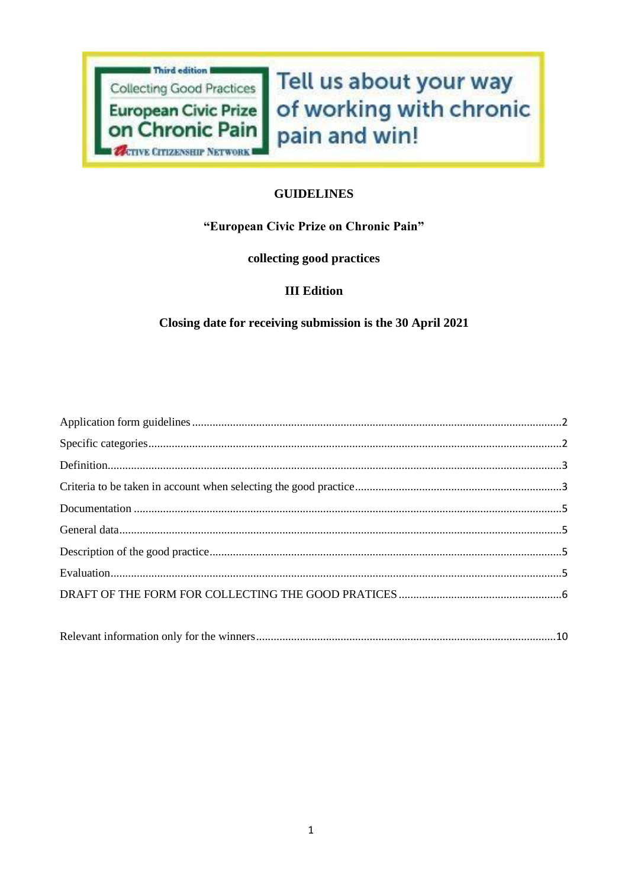

Tell us about your way of working with chronic pain and win!

## **GUIDELINES**

## "European Civic Prize on Chronic Pain"

## collecting good practices

## **III Edition**

# Closing date for receiving submission is the 30 April 2021

|--|--|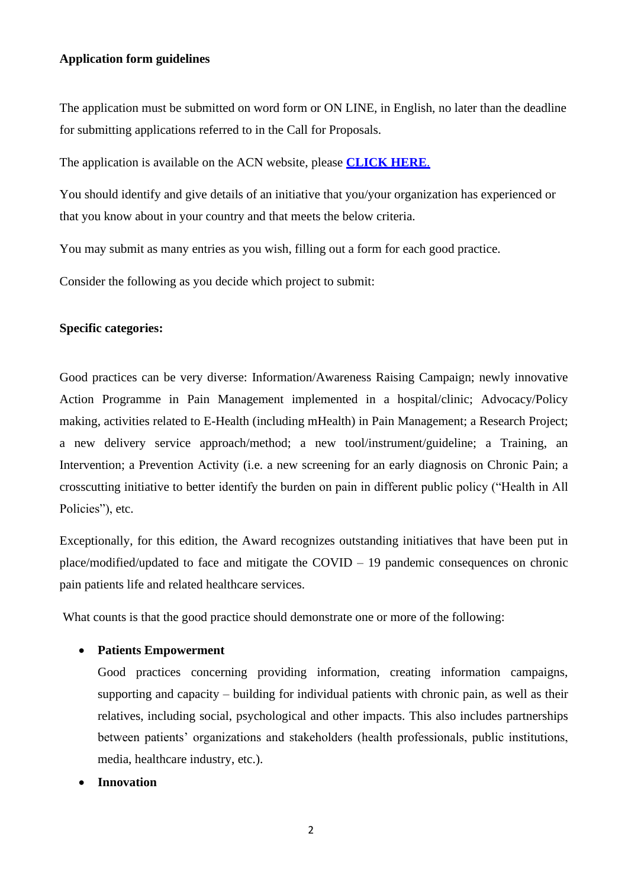### <span id="page-1-0"></span>**Application form guidelines**

The application must be submitted on word form or ON LINE, in English, no later than the deadline for submitting applications referred to in the Call for Proposals.

The application is available on the ACN website, please **[CLICK HERE](http://www.activecitizenship.net/patients-rights/projects/332-european-civic-prize-on-chronic-pain-collecting-good-practices-iii-edition-2020-2021.html)**.

You should identify and give details of an initiative that you/your organization has experienced or that you know about in your country and that meets the below criteria.

You may submit as many entries as you wish, filling out a form for each good practice.

Consider the following as you decide which project to submit:

## <span id="page-1-1"></span>**Specific categories:**

Good practices can be very diverse: Information/Awareness Raising Campaign; newly innovative Action Programme in Pain Management implemented in a hospital/clinic; Advocacy/Policy making, activities related to E-Health (including mHealth) in Pain Management; a Research Project; a new delivery service approach/method; a new tool/instrument/guideline; a Training, an Intervention; a Prevention Activity (i.e. a new screening for an early diagnosis on Chronic Pain; a crosscutting initiative to better identify the burden on pain in different public policy ("Health in All Policies"), etc.

Exceptionally, for this edition, the Award recognizes outstanding initiatives that have been put in place/modified/updated to face and mitigate the COVID – 19 pandemic consequences on chronic pain patients life and related healthcare services.

What counts is that the good practice should demonstrate one or more of the following:

#### • **Patients Empowerment**

Good practices concerning providing information, creating information campaigns, supporting and capacity – building for individual patients with chronic pain, as well as their relatives, including social, psychological and other impacts. This also includes partnerships between patients' organizations and stakeholders (health professionals, public institutions, media, healthcare industry, etc.).

• **Innovation**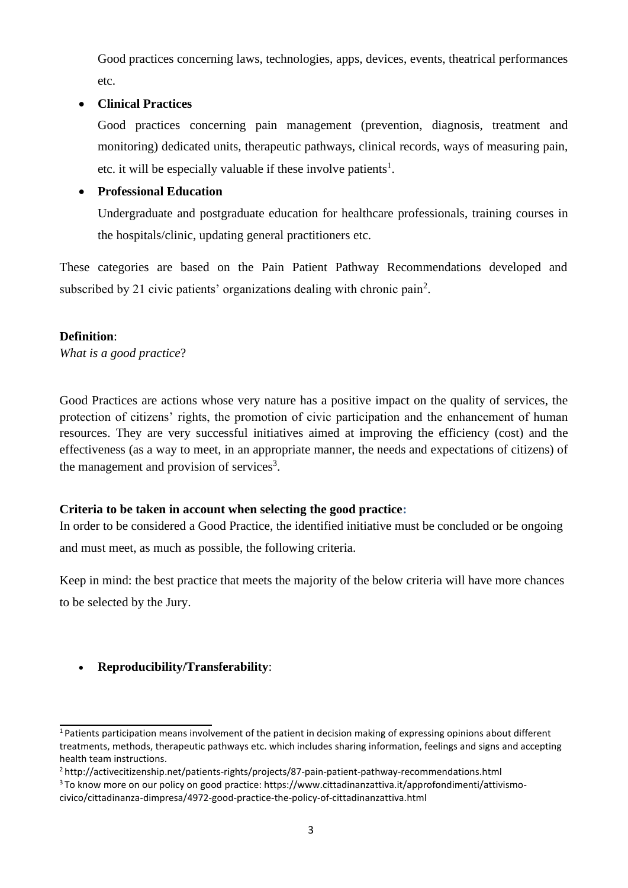Good practices concerning laws, technologies, apps, devices, events, theatrical performances etc.

## • **Clinical Practices**

Good practices concerning pain management (prevention, diagnosis, treatment and monitoring) dedicated units, therapeutic pathways, clinical records, ways of measuring pain, etc. it will be especially valuable if these involve patients<sup>1</sup>.

# • **Professional Education**

Undergraduate and postgraduate education for healthcare professionals, training courses in the hospitals/clinic, updating general practitioners etc.

These categories are based on the Pain Patient Pathway Recommendations developed and subscribed by 21 civic patients' organizations dealing with chronic pain<sup>2</sup>.

## <span id="page-2-0"></span>**Definition**:

*What is a good practice*?

Good Practices are actions whose very nature has a positive impact on the quality of services, the protection of citizens' rights, the promotion of civic participation and the enhancement of human resources. They are very successful initiatives aimed at improving the efficiency (cost) and the effectiveness (as a way to meet, in an appropriate manner, the needs and expectations of citizens) of the management and provision of services<sup>3</sup>.

# <span id="page-2-1"></span>**Criteria to be taken in account when selecting the good practice:**

In order to be considered a Good Practice, the identified initiative must be concluded or be ongoing and must meet, as much as possible, the following criteria.

Keep in mind: the best practice that meets the majority of the below criteria will have more chances to be selected by the Jury.

# • **Reproducibility/Transferability**:

<sup>&</sup>lt;sup>1</sup> Patients participation means involvement of the patient in decision making of expressing opinions about different treatments, methods, therapeutic pathways etc. which includes sharing information, feelings and signs and accepting health team instructions.

<sup>2</sup><http://activecitizenship.net/patients-rights/projects/87-pain-patient-pathway-recommendations.html>

<sup>&</sup>lt;sup>3</sup> To know more on our policy on good practice: https[://www.cittadinanzattiva.it/approfondimenti/attivismo](http://www.cittadinanzattiva.it/approfondimenti/attivismo-)civico/cittadinanza-dimpresa/4972-good-practice-the-policy-of-cittadinanzattiva.html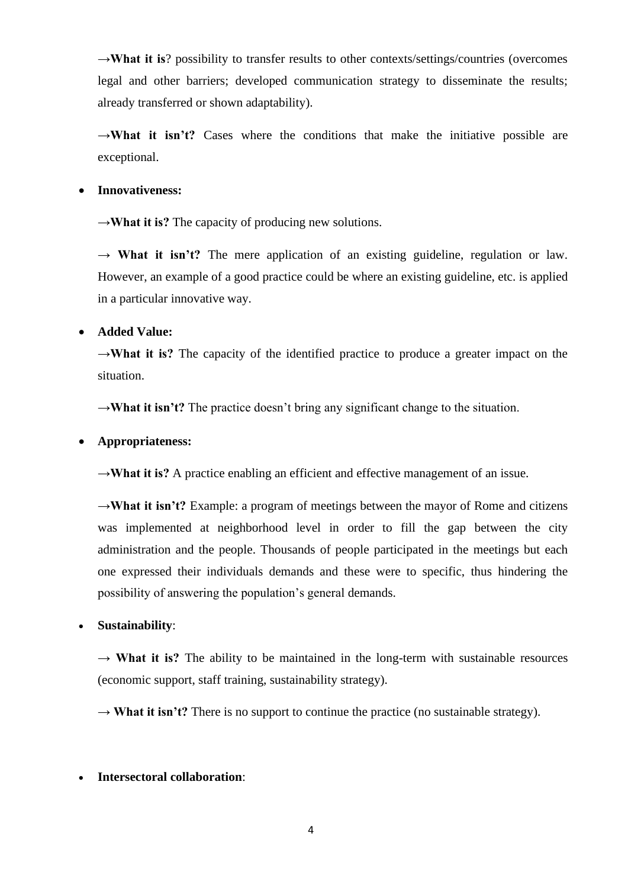**→What it is**? possibility to transfer results to other contexts/settings/countries (overcomes legal and other barriers; developed communication strategy to disseminate the results; already transferred or shown adaptability).

→**What it isn't?** Cases where the conditions that make the initiative possible are exceptional.

## • **Innovativeness:**

**→What it is?** The capacity of producing new solutions.

→ **What it isn't?** The mere application of an existing guideline, regulation or law. However, an example of a good practice could be where an existing guideline, etc. is applied in a particular innovative way.

## • **Added Value:**

**→What it is?** The capacity of the identified practice to produce a greater impact on the situation.

→**What it isn't?** The practice doesn't bring any significant change to the situation.

### • **Appropriateness:**

→**What it is?** A practice enabling an efficient and effective management of an issue.

→**What it isn't?** Example: a program of meetings between the mayor of Rome and citizens was implemented at neighborhood level in order to fill the gap between the city administration and the people. Thousands of people participated in the meetings but each one expressed their individuals demands and these were to specific, thus hindering the possibility of answering the population's general demands.

#### • **Sustainability**:

 $\rightarrow$  What it is? The ability to be maintained in the long-term with sustainable resources (economic support, staff training, sustainability strategy).

→ **What it isn't?** There is no support to continue the practice (no sustainable strategy).

#### • **Intersectoral collaboration**:

4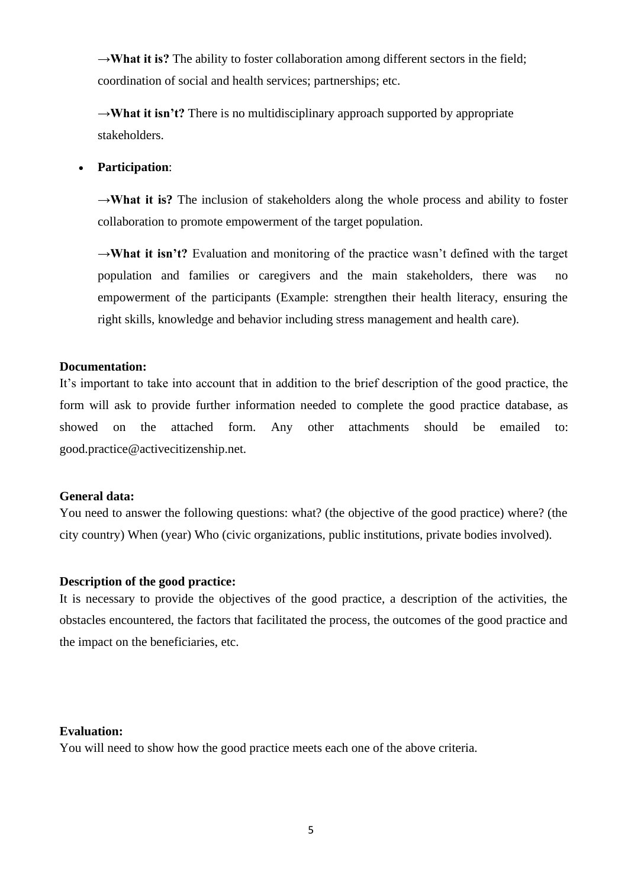→**What it is?** The ability to foster collaboration among different sectors in the field; coordination of social and health services; partnerships; etc.

→**What it isn't?** There is no multidisciplinary approach supported by appropriate stakeholders.

## • **Participation**:

**→What it is?** The inclusion of stakeholders along the whole process and ability to foster collaboration to promote empowerment of the target population.

**→What it isn't?** Evaluation and monitoring of the practice wasn't defined with the target population and families or caregivers and the main stakeholders, there was no empowerment of the participants (Example: strengthen their health literacy, ensuring the right skills, knowledge and behavior including stress management and health care).

### <span id="page-4-0"></span>**Documentation:**

It's important to take into account that in addition to the brief description of the good practice, the form will ask to provide further information needed to complete the good practice database, as showed on the attached form. Any other attachments should be emailed to: [good.practice@activecitizenship.net.](mailto:good.practice@activecitizenship.net)

#### <span id="page-4-1"></span>**General data:**

You need to answer the following questions: what? (the objective of the good practice) where? (the city country) When (year) Who (civic organizations, public institutions, private bodies involved).

#### <span id="page-4-2"></span>**Description of the good practice:**

It is necessary to provide the objectives of the good practice, a description of the activities, the obstacles encountered, the factors that facilitated the process, the outcomes of the good practice and the impact on the beneficiaries, etc.

#### <span id="page-4-3"></span>**Evaluation:**

You will need to show how the good practice meets each one of the above criteria.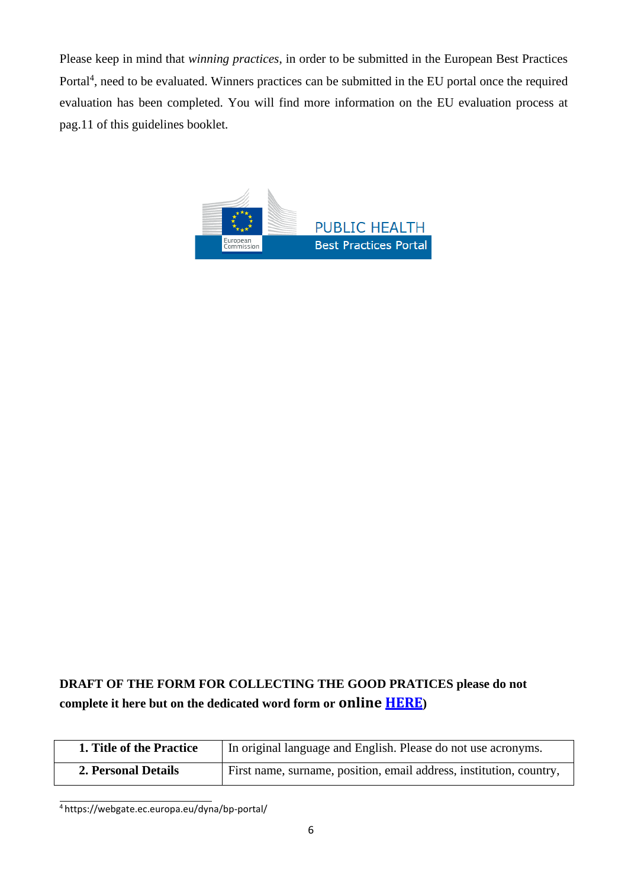Please keep in mind that *winning practices*, in order to be submitted in the European Best Practices Portal<sup>4</sup>, need to be evaluated. Winners practices can be submitted in the EU portal once the required evaluation has been completed. You will find more information on the EU evaluation process at pag.11 of this guidelines booklet.



# <span id="page-5-0"></span>**DRAFT OF THE FORM FOR COLLECTING THE GOOD PRATICES please do not complete it here but on the dedicated word form or online [HERE](http://www.activecitizenship.net/patients-rights/projects/332-european-civic-prize-on-chronic-pain-collecting-good-practices-iii-edition-2020-2021.html))**

| 1. Title of the Practice | In original language and English. Please do not use acronyms.       |
|--------------------------|---------------------------------------------------------------------|
| 2. Personal Details      | First name, surname, position, email address, institution, country, |

<sup>4</sup> https://webgate.ec.europa.eu/dyna/bp-portal/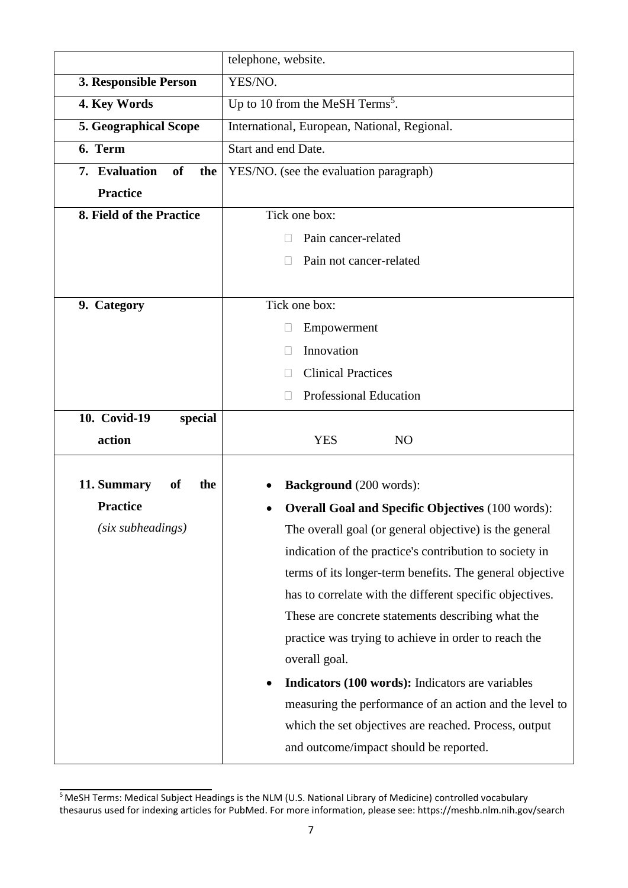|                                                      | telephone, website.                                      |  |  |
|------------------------------------------------------|----------------------------------------------------------|--|--|
| 3. Responsible Person                                | YES/NO.                                                  |  |  |
| 4. Key Words                                         | Up to 10 from the MeSH Terms <sup>5</sup> .              |  |  |
| <b>5. Geographical Scope</b>                         | International, European, National, Regional.             |  |  |
| 6. Term                                              | Start and end Date.                                      |  |  |
| 7. Evaluation<br><b>of</b><br>the<br><b>Practice</b> | YES/NO. (see the evaluation paragraph)                   |  |  |
| 8. Field of the Practice                             | Tick one box:                                            |  |  |
|                                                      | Pain cancer-related                                      |  |  |
|                                                      | Pain not cancer-related                                  |  |  |
| 9. Category                                          | Tick one box:                                            |  |  |
|                                                      | Empowerment                                              |  |  |
|                                                      | Innovation                                               |  |  |
|                                                      | <b>Clinical Practices</b>                                |  |  |
|                                                      | <b>Professional Education</b>                            |  |  |
| 10. Covid-19<br>special<br>action                    | <b>YES</b><br>N <sub>O</sub>                             |  |  |
|                                                      |                                                          |  |  |
|                                                      |                                                          |  |  |
| 11. Summary<br><sub>of</sub><br>the                  | <b>Background</b> (200 words):                           |  |  |
| <b>Practice</b>                                      | <b>Overall Goal and Specific Objectives (100 words):</b> |  |  |
| (six subheadings)                                    | The overall goal (or general objective) is the general   |  |  |
|                                                      | indication of the practice's contribution to society in  |  |  |
|                                                      | terms of its longer-term benefits. The general objective |  |  |
|                                                      | has to correlate with the different specific objectives. |  |  |
|                                                      | These are concrete statements describing what the        |  |  |
|                                                      | practice was trying to achieve in order to reach the     |  |  |
|                                                      | overall goal.                                            |  |  |
|                                                      | Indicators (100 words): Indicators are variables         |  |  |
|                                                      | measuring the performance of an action and the level to  |  |  |
|                                                      | which the set objectives are reached. Process, output    |  |  |

<sup>&</sup>lt;sup>5</sup> MeSH Terms: Medical Subject Headings is the NLM (U.S. National Library of Medicine) controlled vocabulary thesaurus used for indexing articles for PubMed. For more information, please see: https://meshb.nlm.nih.gov/search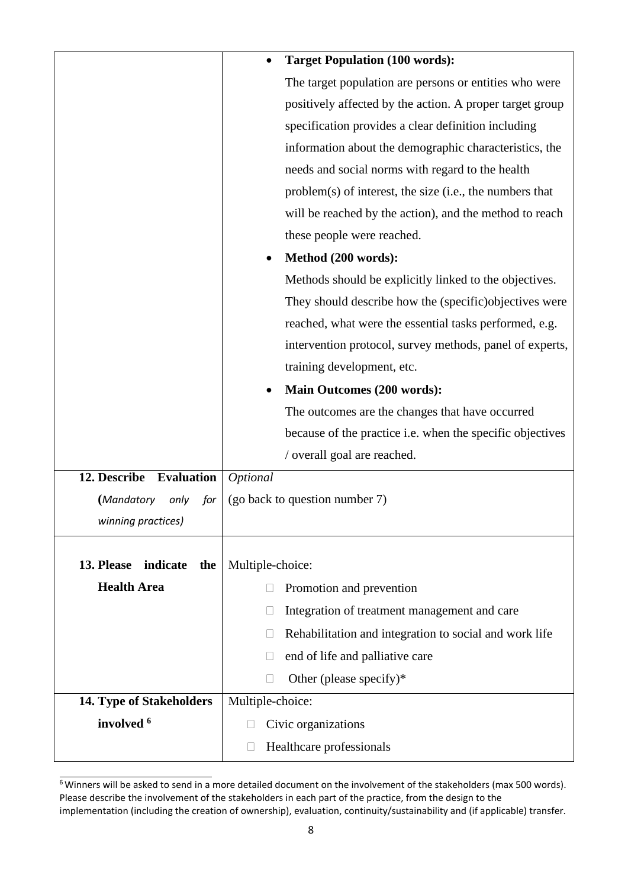|                               | <b>Target Population (100 words):</b>                            |
|-------------------------------|------------------------------------------------------------------|
|                               | The target population are persons or entities who were           |
|                               | positively affected by the action. A proper target group         |
|                               | specification provides a clear definition including              |
|                               | information about the demographic characteristics, the           |
|                               | needs and social norms with regard to the health                 |
|                               | $problem(s)$ of interest, the size (i.e., the numbers that       |
|                               | will be reached by the action), and the method to reach          |
|                               | these people were reached.                                       |
|                               | Method (200 words):                                              |
|                               | Methods should be explicitly linked to the objectives.           |
|                               | They should describe how the (specific) objectives were          |
|                               | reached, what were the essential tasks performed, e.g.           |
|                               | intervention protocol, survey methods, panel of experts,         |
|                               | training development, etc.                                       |
|                               | <b>Main Outcomes (200 words):</b>                                |
|                               | The outcomes are the changes that have occurred                  |
|                               | because of the practice i.e. when the specific objectives        |
|                               | / overall goal are reached.                                      |
| 12. Describe Evaluation       | Optional                                                         |
| (Mandatory<br>only<br>for     | (go back to question number 7)                                   |
| winning practices)            |                                                                  |
|                               |                                                                  |
| 13. Please<br>indicate<br>the | Multiple-choice:                                                 |
| <b>Health Area</b>            | Promotion and prevention                                         |
|                               | Integration of treatment management and care                     |
|                               | Rehabilitation and integration to social and work life<br>$\Box$ |
|                               | end of life and palliative care                                  |
|                               | Other (please specify)*                                          |
| 14. Type of Stakeholders      | Multiple-choice:                                                 |
| involved <sup>6</sup>         | Civic organizations                                              |
|                               | Healthcare professionals                                         |

 $\overline{6}$ Winners will be asked to send in a more detailed document on the involvement of the stakeholders (max 500 words). Please describe the involvement of the stakeholders in each part of the practice, from the design to the implementation (including the creation of ownership), evaluation, continuity/sustainability and (if applicable) transfer.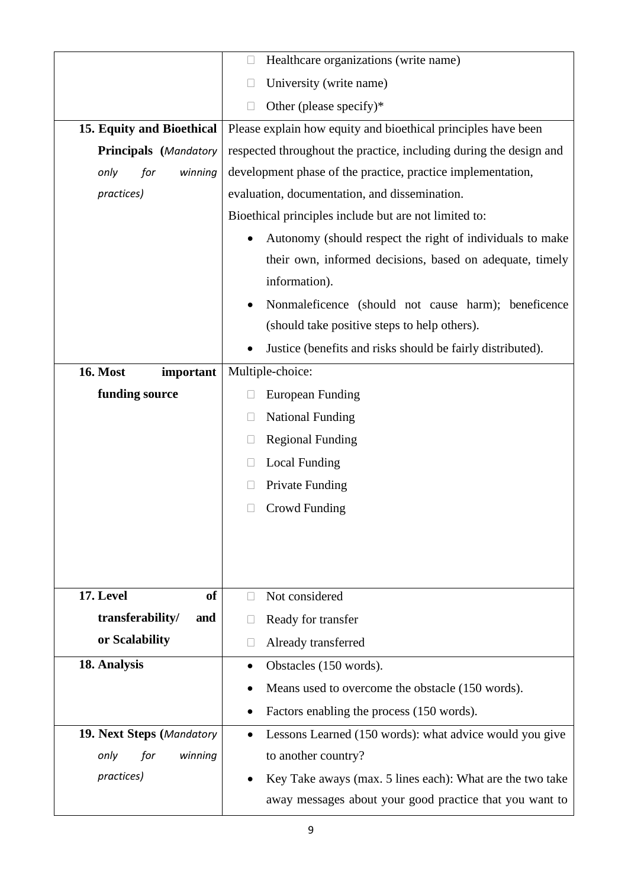|                              | Healthcare organizations (write name)<br>$\Box$                    |
|------------------------------|--------------------------------------------------------------------|
|                              | University (write name)<br>П                                       |
|                              | Other (please specify)*<br>$\Box$                                  |
| 15. Equity and Bioethical    | Please explain how equity and bioethical principles have been      |
| Principals (Mandatory        | respected throughout the practice, including during the design and |
| winning<br>only<br>for       | development phase of the practice, practice implementation,        |
| practices)                   | evaluation, documentation, and dissemination.                      |
|                              | Bioethical principles include but are not limited to:              |
|                              | Autonomy (should respect the right of individuals to make          |
|                              | their own, informed decisions, based on adequate, timely           |
|                              | information).                                                      |
|                              | Nonmaleficence (should not cause harm); beneficence                |
|                              | (should take positive steps to help others).                       |
|                              | Justice (benefits and risks should be fairly distributed).         |
| <b>16. Most</b><br>important | Multiple-choice:                                                   |
| funding source               | <b>European Funding</b><br>□                                       |
|                              | <b>National Funding</b><br>⊔                                       |
|                              | <b>Regional Funding</b><br>$\Box$                                  |
|                              | <b>Local Funding</b><br>$\Box$                                     |
|                              | Private Funding                                                    |
|                              | <b>Crowd Funding</b>                                               |
|                              |                                                                    |
|                              |                                                                    |
|                              |                                                                    |
| 17. Level<br>of              | Not considered<br>П                                                |
| transferability/<br>and      | Ready for transfer                                                 |
| or Scalability               | Already transferred<br>$\Box$                                      |
| 18. Analysis                 | Obstacles (150 words).<br>$\bullet$                                |
|                              | Means used to overcome the obstacle (150 words).                   |
|                              | Factors enabling the process (150 words).                          |
| 19. Next Steps (Mandatory    | Lessons Learned (150 words): what advice would you give            |
| only<br>for<br>winning       | to another country?                                                |
| practices)                   | Key Take aways (max. 5 lines each): What are the two take          |
|                              | away messages about your good practice that you want to            |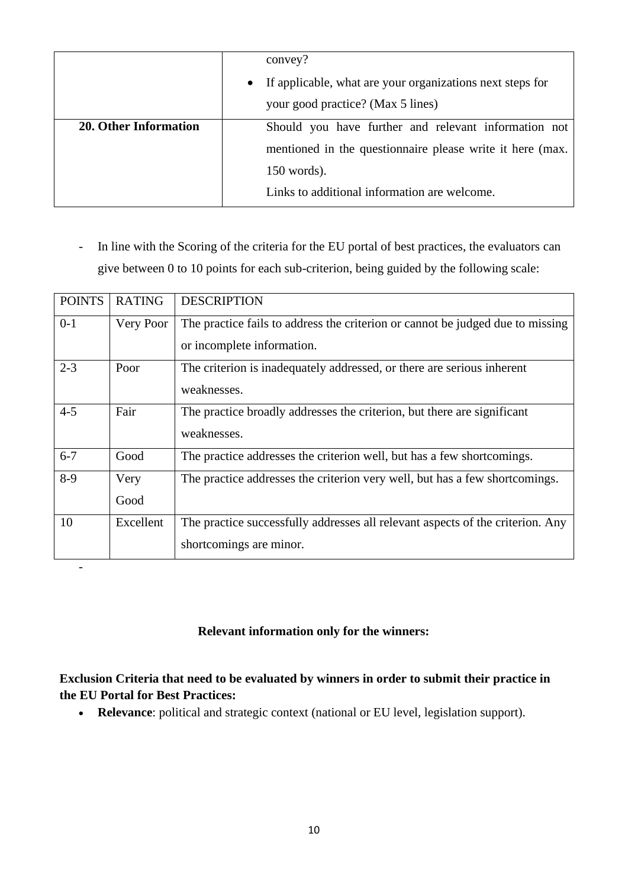|                              | convey?<br>If applicable, what are your organizations next steps for<br>$\bullet$<br>your good practice? (Max 5 lines)                                                             |
|------------------------------|------------------------------------------------------------------------------------------------------------------------------------------------------------------------------------|
| <b>20. Other Information</b> | Should you have further and relevant information not<br>mentioned in the questionnaire please write it here (max.<br>$150$ words).<br>Links to additional information are welcome. |

- In line with the Scoring of the criteria for the EU portal of best practices, the evaluators can give between 0 to 10 points for each sub-criterion, being guided by the following scale:

| <b>POINTS</b> | <b>RATING</b> | <b>DESCRIPTION</b>                                                                                           |
|---------------|---------------|--------------------------------------------------------------------------------------------------------------|
| $0-1$         | Very Poor     | The practice fails to address the criterion or cannot be judged due to missing<br>or incomplete information. |
| $2 - 3$       | Poor          | The criterion is inadequately addressed, or there are serious inherent<br>weaknesses.                        |
| $4 - 5$       | Fair          | The practice broadly addresses the criterion, but there are significant<br>weaknesses.                       |
| $6 - 7$       | Good          | The practice addresses the criterion well, but has a few shortcomings.                                       |
| $8-9$         | Very<br>Good  | The practice addresses the criterion very well, but has a few shortcomings.                                  |
| 10            | Excellent     | The practice successfully addresses all relevant aspects of the criterion. Any<br>shortcomings are minor.    |

## **Relevant information only for the winners:**

-

# <span id="page-9-0"></span>**Exclusion Criteria that need to be evaluated by winners in order to submit their practice in the EU Portal for Best Practices:**

• **Relevance**: political and strategic context (national or EU level, legislation support).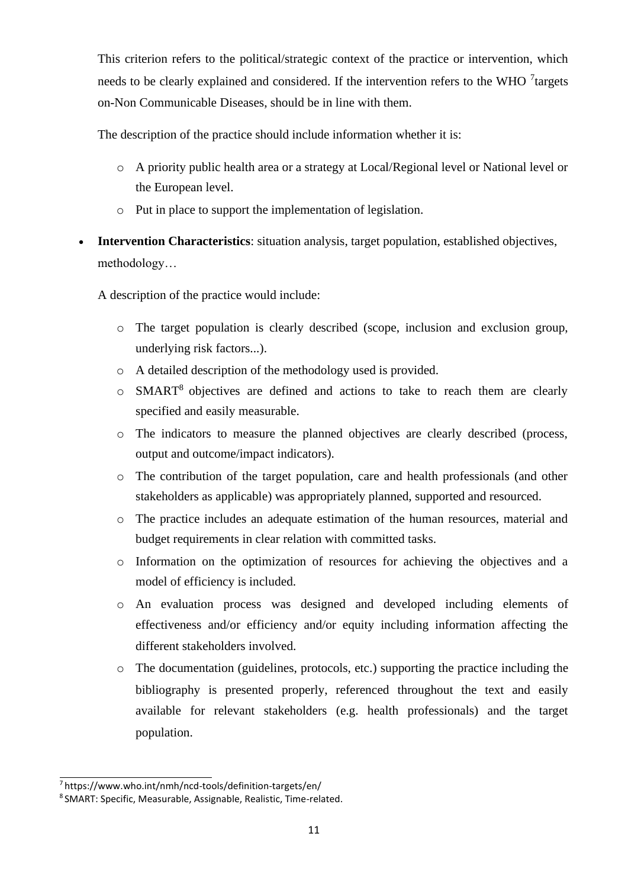This criterion refers to the political/strategic context of the practice or intervention, which needs to be clearly explained and considered. If the intervention refers to the WHO <sup>7</sup> targets on-Non Communicable Diseases, should be in line with them.

The description of the practice should include information whether it is:

- o A priority public health area or a strategy at Local/Regional level or National level or the European level.
- o Put in place to support the implementation of legislation.
- **Intervention Characteristics**: situation analysis, target population, established objectives, methodology…

A description of the practice would include:

- o The target population is clearly described (scope, inclusion and exclusion group, underlying risk factors...).
- o A detailed description of the methodology used is provided.
- $\circ$  SMART<sup>8</sup> objectives are defined and actions to take to reach them are clearly specified and easily measurable.
- o The indicators to measure the planned objectives are clearly described (process, output and outcome/impact indicators).
- o The contribution of the target population, care and health professionals (and other stakeholders as applicable) was appropriately planned, supported and resourced.
- o The practice includes an adequate estimation of the human resources, material and budget requirements in clear relation with committed tasks.
- o Information on the optimization of resources for achieving the objectives and a model of efficiency is included.
- o An evaluation process was designed and developed including elements of effectiveness and/or efficiency and/or equity including information affecting the different stakeholders involved.
- o The documentation (guidelines, protocols, etc.) supporting the practice including the bibliography is presented properly, referenced throughout the text and easily available for relevant stakeholders (e.g. health professionals) and the target population.

<sup>7</sup>https[://www.who.int/nmh/ncd-tools/definition-targets/en/](http://www.who.int/nmh/ncd-tools/definition-targets/en/)

<sup>8</sup> SMART: Specific, Measurable, Assignable, Realistic, Time-related.